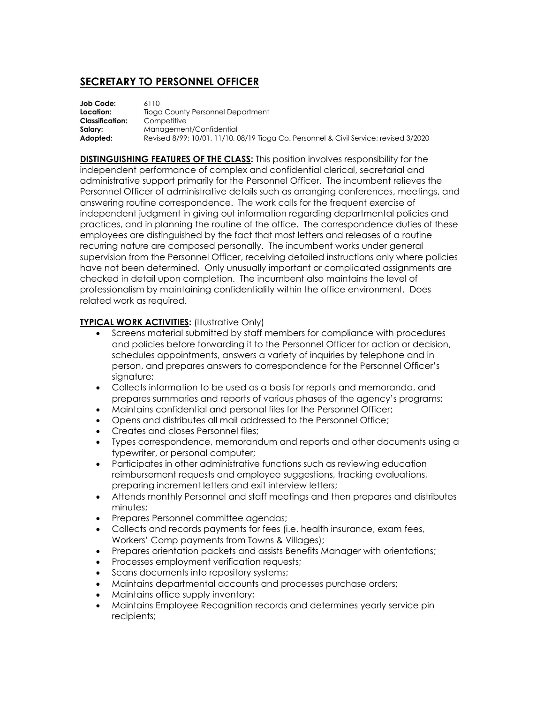## **SECRETARY TO PERSONNEL OFFICER**

| Job Code:              | 6110                                                                                  |
|------------------------|---------------------------------------------------------------------------------------|
| Location:              | Tioga County Personnel Department                                                     |
| <b>Classification:</b> | Competitive                                                                           |
| Salary:                | Management/Confidential                                                               |
| Adopted:               | Revised 8/99; 10/01, 11/10, 08/19 Tioga Co. Personnel & Civil Service; revised 3/2020 |

**DISTINGUISHING FEATURES OF THE CLASS:** This position involves responsibility for the independent performance of complex and confidential clerical, secretarial and administrative support primarily for the Personnel Officer. The incumbent relieves the Personnel Officer of administrative details such as arranging conferences, meetings, and answering routine correspondence. The work calls for the frequent exercise of independent judgment in giving out information regarding departmental policies and practices, and in planning the routine of the office. The correspondence duties of these employees are distinguished by the fact that most letters and releases of a routine recurring nature are composed personally. The incumbent works under general supervision from the Personnel Officer, receiving detailed instructions only where policies have not been determined. Only unusually important or complicated assignments are checked in detail upon completion. The incumbent also maintains the level of professionalism by maintaining confidentiality within the office environment. Does related work as required.

## **TYPICAL WORK ACTIVITIES: (Illustrative Only)**

- Screens material submitted by staff members for compliance with procedures and policies before forwarding it to the Personnel Officer for action or decision, schedules appointments, answers a variety of inquiries by telephone and in person, and prepares answers to correspondence for the Personnel Officer's signature;
- Collects information to be used as a basis for reports and memoranda, and prepares summaries and reports of various phases of the agency's programs;
- Maintains confidential and personal files for the Personnel Officer;
- Opens and distributes all mail addressed to the Personnel Office;
- Creates and closes Personnel files:
- Types correspondence, memorandum and reports and other documents using a typewriter, or personal computer;
- Participates in other administrative functions such as reviewing education reimbursement requests and employee suggestions, tracking evaluations, preparing increment letters and exit interview letters;
- Attends monthly Personnel and staff meetings and then prepares and distributes minutes;
- Prepares Personnel committee agendas;
- Collects and records payments for fees (i.e. health insurance, exam fees, Workers' Comp payments from Towns & Villages);
- Prepares orientation packets and assists Benefits Manager with orientations;
- **Processes employment verification requests;**
- Scans documents into repository systems;
- Maintains departmental accounts and processes purchase orders;
- Maintains office supply inventory;
- Maintains Employee Recognition records and determines yearly service pin recipients;